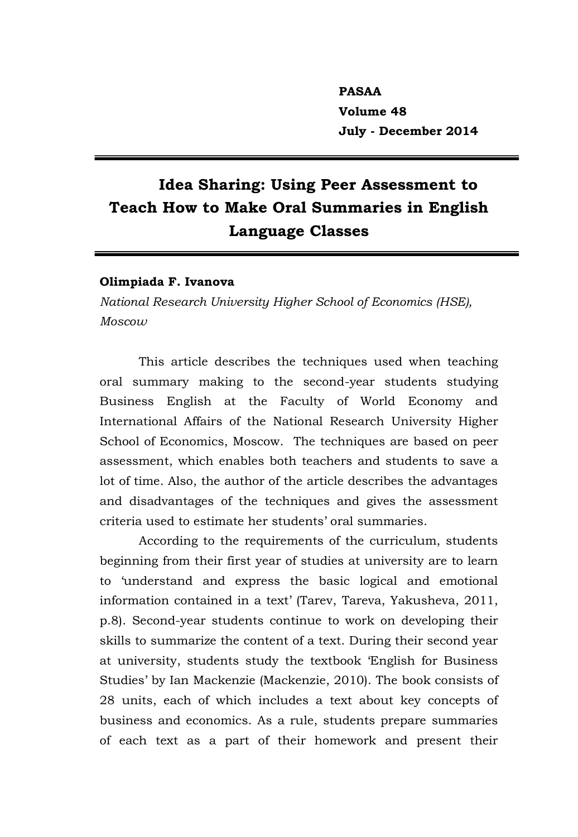**PASAA Volume 48 July - December 2014**

# **Idea Sharing: Using Peer Assessment to Teach How to Make Oral Summaries in English Language Classes**

# **Olimpiada F. Ivanova**

*National Research University Higher School of Economics (HSE), Moscow*

This article describes the techniques used when teaching oral summary making to the second-year students studying Business English at the Faculty of World Economy and International Affairs of the National Research University Higher School of Economics, Moscow. The techniques are based on peer assessment, which enables both teachers and students to save a lot of time. Also, the author of the article describes the advantages and disadvantages of the techniques and gives the assessment criteria used to estimate her students' oral summaries.

According to the requirements of the curriculum, students beginning from their first year of studies at university are to learn to 'understand and express the basic logical and emotional information contained in a text' (Tarev, Tareva, Yakusheva, 2011, p.8). Second-year students continue to work on developing their skills to summarize the content of a text. During their second year at university, students study the textbook 'English for Business Studies' by Ian Mackenzie (Mackenzie, 2010). The book consists of 28 units, each of which includes a text about key concepts of business and economics. As a rule, students prepare summaries of each text as a part of their homework and present their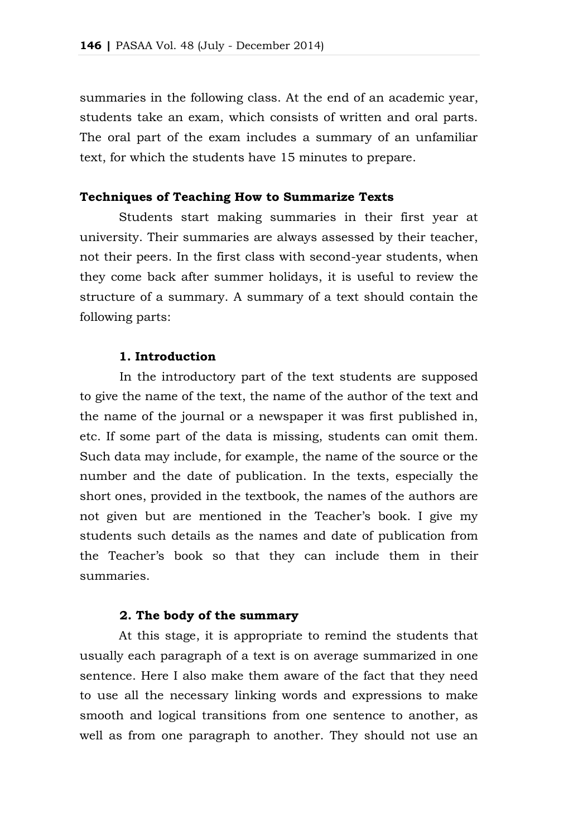summaries in the following class. At the end of an academic year, students take an exam, which consists of written and oral parts. The oral part of the exam includes a summary of an unfamiliar text, for which the students have 15 minutes to prepare.

# **Techniques of Teaching How to Summarize Texts**

Students start making summaries in their first year at university. Their summaries are always assessed by their teacher, not their peers. In the first class with second-year students, when they come back after summer holidays, it is useful to review the structure of a summary. A summary of a text should contain the following parts:

# **1. Introduction**

In the introductory part of the text students are supposed to give the name of the text, the name of the author of the text and the name of the journal or a newspaper it was first published in, etc. If some part of the data is missing, students can omit them. Such data may include, for example, the name of the source or the number and the date of publication. In the texts, especially the short ones, provided in the textbook, the names of the authors are not given but are mentioned in the Teacher's book. I give my students such details as the names and date of publication from the Teacher's book so that they can include them in their summaries.

# **2. The body of the summary**

At this stage, it is appropriate to remind the students that usually each paragraph of a text is on average summarized in one sentence. Here I also make them aware of the fact that they need to use all the necessary linking words and expressions to make smooth and logical transitions from one sentence to another, as well as from one paragraph to another. They should not use an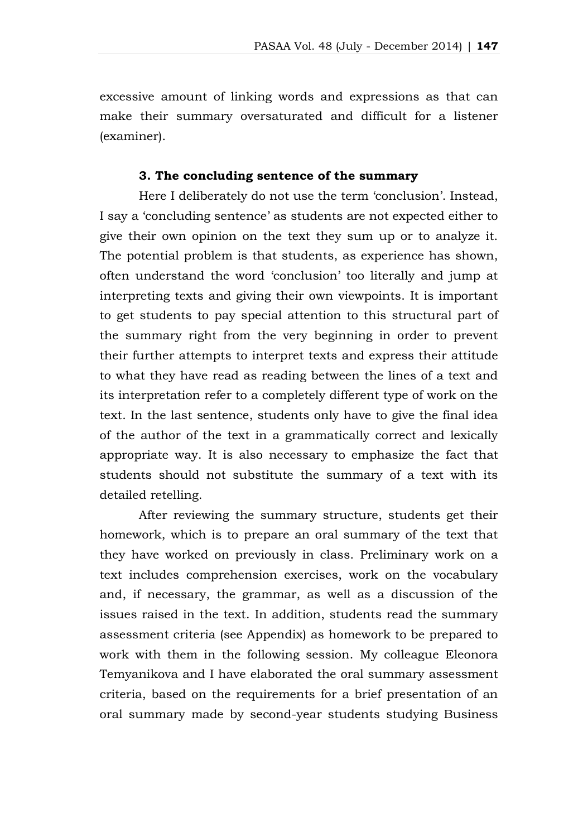excessive amount of linking words and expressions as that can make their summary oversaturated and difficult for a listener (examiner).

# **3. The concluding sentence of the summary**

Here I deliberately do not use the term 'conclusion'. Instead, I say a 'concluding sentence' as students are not expected either to give their own opinion on the text they sum up or to analyze it. The potential problem is that students, as experience has shown, often understand the word 'conclusion' too literally and jump at interpreting texts and giving their own viewpoints. It is important to get students to pay special attention to this structural part of the summary right from the very beginning in order to prevent their further attempts to interpret texts and express their attitude to what they have read as reading between the lines of a text and its interpretation refer to a completely different type of work on the text. In the last sentence, students only have to give the final idea of the author of the text in a grammatically correct and lexically appropriate way. It is also necessary to emphasize the fact that students should not substitute the summary of a text with its detailed retelling.

After reviewing the summary structure, students get their homework, which is to prepare an oral summary of the text that they have worked on previously in class. Preliminary work on a text includes comprehension exercises, work on the vocabulary and, if necessary, the grammar, as well as a discussion of the issues raised in the text. In addition, students read the summary assessment criteria (see Appendix) as homework to be prepared to work with them in the following session. My colleague Eleonora Temyanikova and I have elaborated the oral summary assessment criteria, based on the requirements for a brief presentation of an oral summary made by second-year students studying Business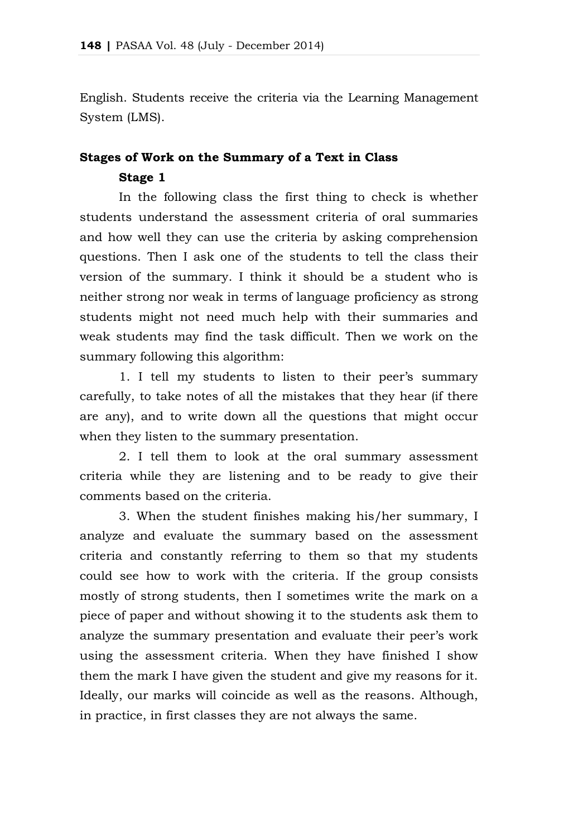English. Students receive the criteria via the Learning Management System (LMS).

# **Stages of Work on the Summary of a Text in Class Stage 1**

In the following class the first thing to check is whether students understand the assessment criteria of oral summaries and how well they can use the criteria by asking comprehension questions. Then I ask one of the students to tell the class their version of the summary. I think it should be a student who is neither strong nor weak in terms of language proficiency as strong students might not need much help with their summaries and weak students may find the task difficult. Then we work on the summary following this algorithm:

1. I tell my students to listen to their peer's summary carefully, to take notes of all the mistakes that they hear (if there are any), and to write down all the questions that might occur when they listen to the summary presentation.

2. I tell them to look at the oral summary assessment criteria while they are listening and to be ready to give their comments based on the criteria.

3. When the student finishes making his/her summary, I analyze and evaluate the summary based on the assessment criteria and constantly referring to them so that my students could see how to work with the criteria. If the group consists mostly of strong students, then I sometimes write the mark on a piece of paper and without showing it to the students ask them to analyze the summary presentation and evaluate their peer's work using the assessment criteria. When they have finished I show them the mark I have given the student and give my reasons for it. Ideally, our marks will coincide as well as the reasons. Although, in practice, in first classes they are not always the same.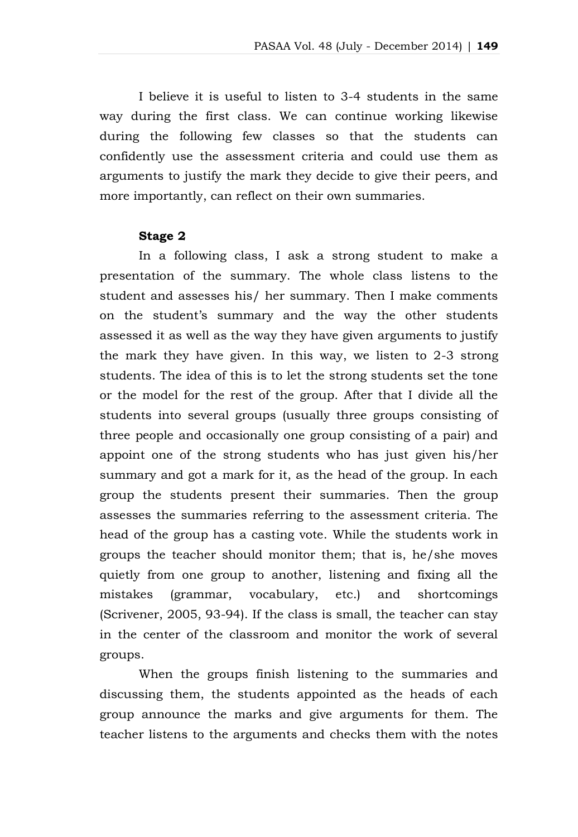I believe it is useful to listen to 3-4 students in the same way during the first class. We can continue working likewise during the following few classes so that the students can confidently use the assessment criteria and could use them as arguments to justify the mark they decide to give their peers, and more importantly, can reflect on their own summaries.

#### **Stage 2**

In a following class, I ask a strong student to make a presentation of the summary. The whole class listens to the student and assesses his/ her summary. Then I make comments on the student's summary and the way the other students assessed it as well as the way they have given arguments to justify the mark they have given. In this way, we listen to 2-3 strong students. The idea of this is to let the strong students set the tone or the model for the rest of the group. After that I divide all the students into several groups (usually three groups consisting of three people and occasionally one group consisting of a pair) and appoint one of the strong students who has just given his/her summary and got a mark for it, as the head of the group. In each group the students present their summaries. Then the group assesses the summaries referring to the assessment criteria. The head of the group has a casting vote. While the students work in groups the teacher should monitor them; that is, he/she moves quietly from one group to another, listening and fixing all the mistakes (grammar, vocabulary, etc.) and shortcomings (Scrivener, 2005, 93-94). If the class is small, the teacher can stay in the center of the classroom and monitor the work of several groups.

When the groups finish listening to the summaries and discussing them, the students appointed as the heads of each group announce the marks and give arguments for them. The teacher listens to the arguments and checks them with the notes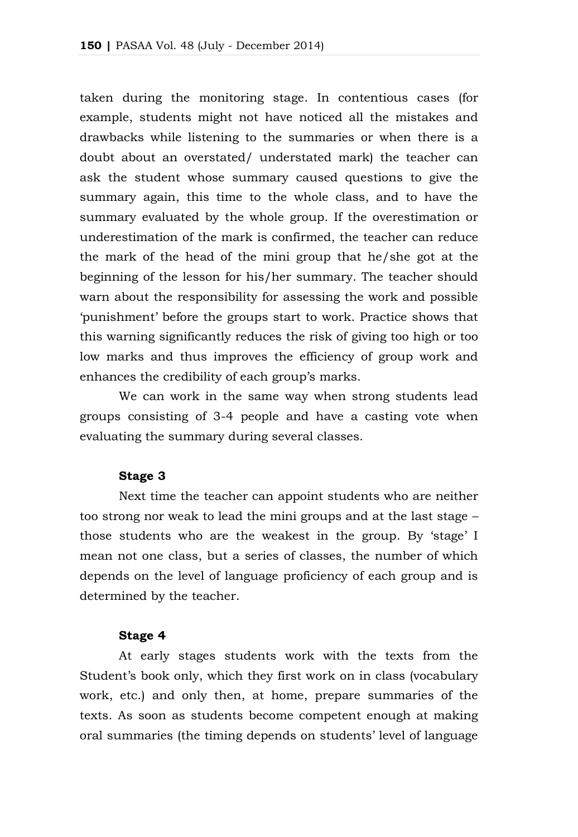taken during the monitoring stage. In contentious cases (for example, students might not have noticed all the mistakes and drawbacks while listening to the summaries or when there is a doubt about an overstated/ understated mark) the teacher can ask the student whose summary caused questions to give the summary again, this time to the whole class, and to have the summary evaluated by the whole group. If the overestimation or underestimation of the mark is confirmed, the teacher can reduce the mark of the head of the mini group that he/she got at the beginning of the lesson for his/her summary. The teacher should warn about the responsibility for assessing the work and possible 'punishment' before the groups start to work. Practice shows that this warning significantly reduces the risk of giving too high or too low marks and thus improves the efficiency of group work and enhances the credibility of each group's marks.

We can work in the same way when strong students lead groups consisting of 3-4 people and have a casting vote when evaluating the summary during several classes.

# **Stage 3**

Next time the teacher can appoint students who are neither too strong nor weak to lead the mini groups and at the last stage – those students who are the weakest in the group. By 'stage' I mean not one class, but a series of classes, the number of which depends on the level of language proficiency of each group and is determined by the teacher.

# **Stage 4**

At early stages students work with the texts from the Student's book only, which they first work on in class (vocabulary work, etc.) and only then, at home, prepare summaries of the texts. As soon as students become competent enough at making oral summaries (the timing depends on students' level of language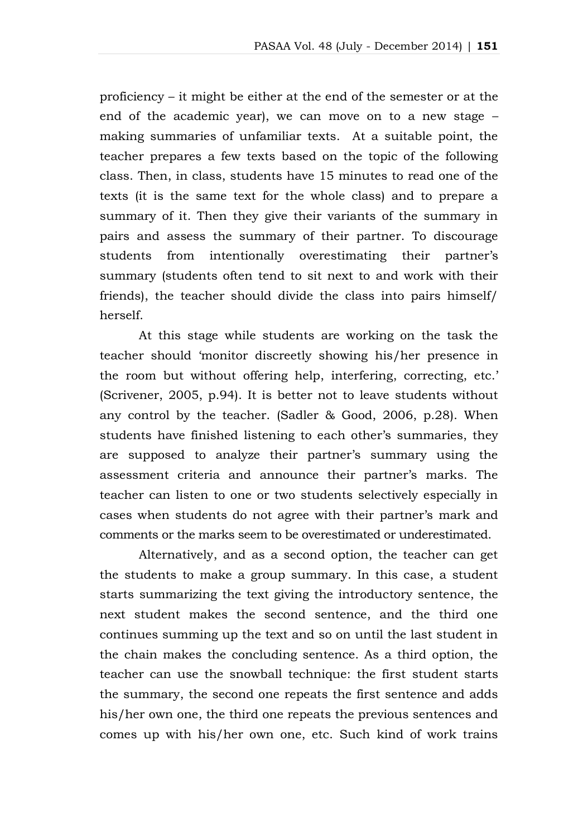proficiency – it might be either at the end of the semester or at the end of the academic year), we can move on to a new stage – making summaries of unfamiliar texts. At a suitable point, the teacher prepares a few texts based on the topic of the following class. Then, in class, students have 15 minutes to read one of the texts (it is the same text for the whole class) and to prepare a summary of it. Then they give their variants of the summary in pairs and assess the summary of their partner. To discourage students from intentionally overestimating their partner's summary (students often tend to sit next to and work with their friends), the teacher should divide the class into pairs himself/ herself.

At this stage while students are working on the task the teacher should 'monitor discreetly showing his/her presence in the room but without offering help, interfering, correcting, etc.' (Scrivener, 2005, p.94). It is better not to leave students without any control by the teacher. (Sadler & Good, 2006, p.28). When students have finished listening to each other's summaries, they are supposed to analyze their partner's summary using the assessment criteria and announce their partner's marks. The teacher can listen to one or two students selectively especially in cases when students do not agree with their partner's mark and comments or the marks seem to be overestimated or underestimated.

Alternatively, and as a second option, the teacher can get the students to make a group summary. In this case, a student starts summarizing the text giving the introductory sentence, the next student makes the second sentence, and the third one continues summing up the text and so on until the last student in the chain makes the concluding sentence. As a third option, the teacher can use the snowball technique: the first student starts the summary, the second one repeats the first sentence and adds his/her own one, the third one repeats the previous sentences and comes up with his/her own one, etc. Such kind of work trains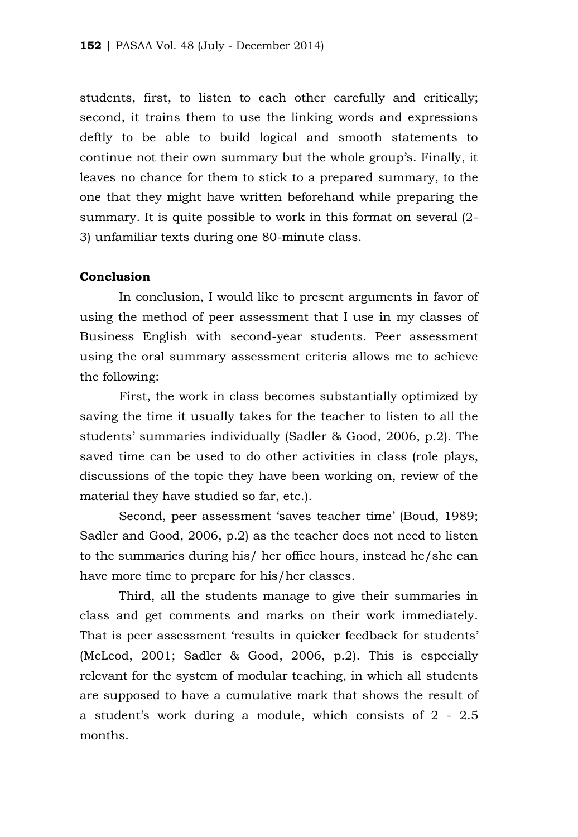students, first, to listen to each other carefully and critically; second, it trains them to use the linking words and expressions deftly to be able to build logical and smooth statements to continue not their own summary but the whole group's. Finally, it leaves no chance for them to stick to a prepared summary, to the one that they might have written beforehand while preparing the summary. It is quite possible to work in this format on several (2- 3) unfamiliar texts during one 80-minute class.

# **Conclusion**

In conclusion, I would like to present arguments in favor of using the method of peer assessment that I use in my classes of Business English with second-year students. Peer assessment using the oral summary assessment criteria allows me to achieve the following:

First, the work in class becomes substantially optimized by saving the time it usually takes for the teacher to listen to all the students' summaries individually (Sadler & Good, 2006, p.2). The saved time can be used to do other activities in class (role plays, discussions of the topic they have been working on, review of the material they have studied so far, etc.).

Second, peer assessment 'saves teacher time' (Boud, 1989; Sadler and Good, 2006, p.2) as the teacher does not need to listen to the summaries during his/ her office hours, instead he/she can have more time to prepare for his/her classes.

Third, all the students manage to give their summaries in class and get comments and marks on their work immediately. That is peer assessment 'results in quicker feedback for students' (McLeod, 2001; Sadler & Good, 2006, p.2). This is especially relevant for the system of modular teaching, in which all students are supposed to have a cumulative mark that shows the result of a student's work during a module, which consists of 2 - 2.5 months.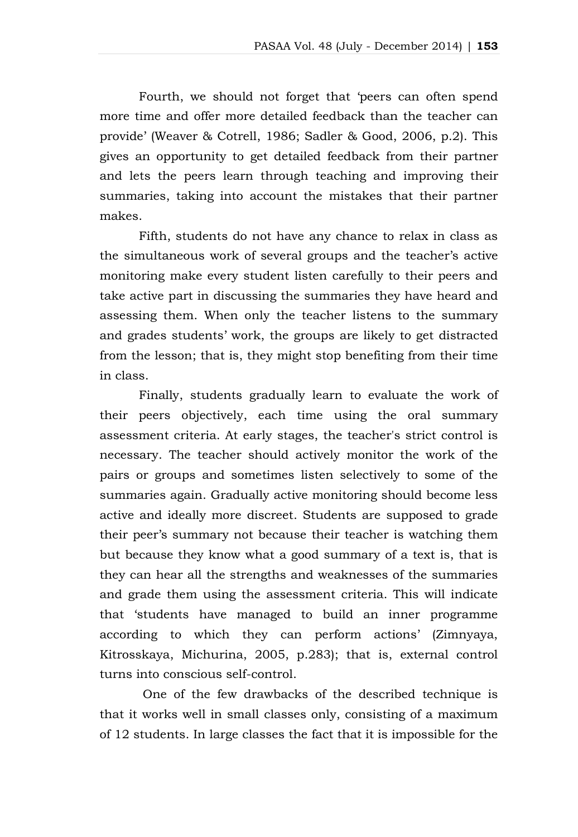Fourth, we should not forget that 'peers can often spend more time and offer more detailed feedback than the teacher can provide' (Weaver & Cotrell, 1986; Sadler & Good, 2006, p.2). This gives an opportunity to get detailed feedback from their partner and lets the peers learn through teaching and improving their summaries, taking into account the mistakes that their partner makes.

Fifth, students do not have any chance to relax in class as the simultaneous work of several groups and the teacher's active monitoring make every student listen carefully to their peers and take active part in discussing the summaries they have heard and assessing them. When only the teacher listens to the summary and grades students' work, the groups are likely to get distracted from the lesson; that is, they might stop benefiting from their time in class.

Finally, students gradually learn to evaluate the work of their peers objectively, each time using the oral summary assessment criteria. At early stages, the teacher's strict control is necessary. The teacher should actively monitor the work of the pairs or groups and sometimes listen selectively to some of the summaries again. Gradually active monitoring should become less active and ideally more discreet. Students are supposed to grade their peer's summary not because their teacher is watching them but because they know what a good summary of a text is, that is they can hear all the strengths and weaknesses of the summaries and grade them using the assessment criteria. This will indicate that 'students have managed to build an inner programme according to which they can perform actions' (Zimnyaya, Kitrosskaya, Michurina, 2005, p.283); that is, external control turns into conscious self-control.

One of the few drawbacks of the described technique is that it works well in small classes only, consisting of a maximum of 12 students. In large classes the fact that it is impossible for the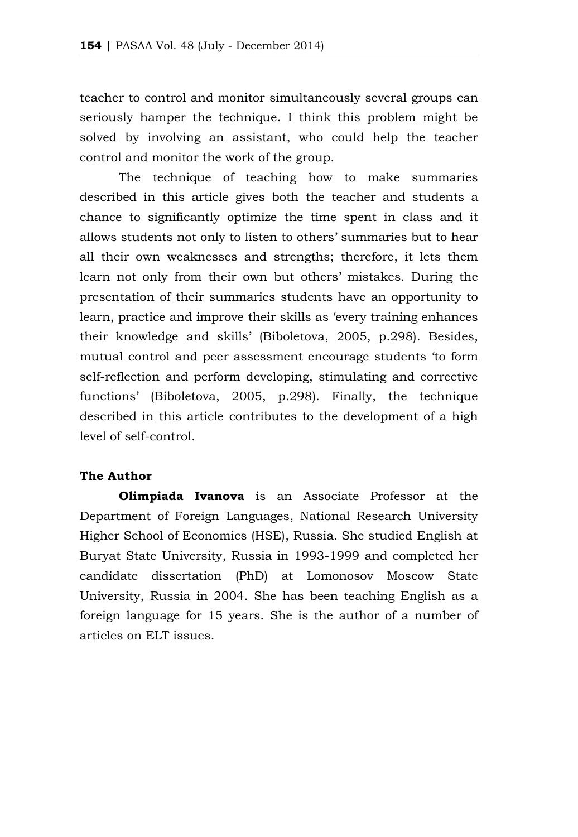teacher to control and monitor simultaneously several groups can seriously hamper the technique. I think this problem might be solved by involving an assistant, who could help the teacher control and monitor the work of the group.

The technique of teaching how to make summaries described in this article gives both the teacher and students a chance to significantly optimize the time spent in class and it allows students not only to listen to others' summaries but to hear all their own weaknesses and strengths; therefore, it lets them learn not only from their own but others' mistakes. During the presentation of their summaries students have an opportunity to learn, practice and improve their skills as 'every training enhances their knowledge and skills' (Biboletova, 2005, p.298). Besides, mutual control and peer assessment encourage students 'to form self-reflection and perform developing, stimulating and corrective functions' (Biboletova, 2005, p.298). Finally, the technique described in this article contributes to the development of a high level of self-control.

# **The Author**

**Olimpiada Ivanova** is an Associate Professor at the Department of Foreign Languages, National Research University Higher School of Economics (HSE), Russia. She studied English at Buryat State University, Russia in 1993-1999 and completed her candidate dissertation (PhD) at Lomonosov Moscow State University, Russia in 2004. She has been teaching English as a foreign language for 15 years. She is the author of a number of articles on ELT issues.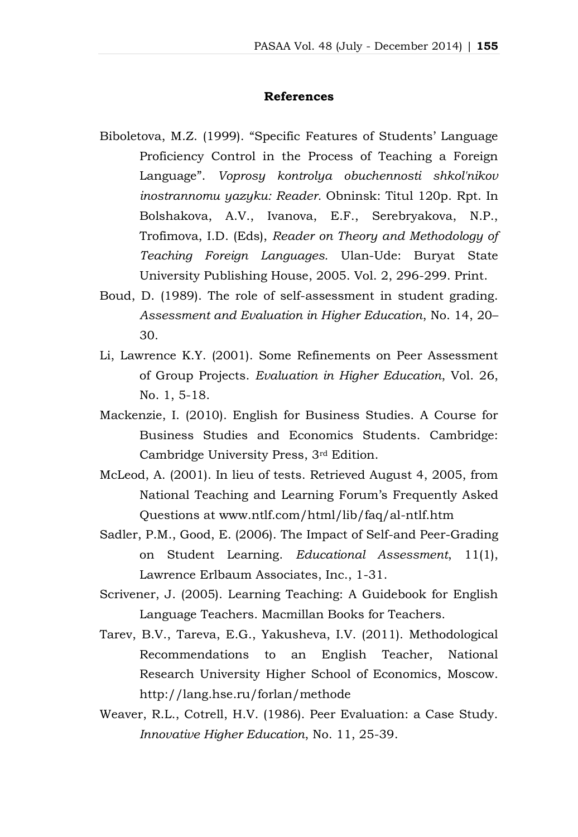# **References**

- Biboletova, M.Z. (1999). "Specific Features of Students' Language Proficiency Control in the Process of Teaching a Foreign Language". *Voprosy kontrolya obuchennosti shkol'nikov inostrannomu yazyku: Reader.* Obninsk: Titul 120p. Rpt. In Bolshakova, A.V., Ivanova, E.F., Serebryakova, N.P., Trofimova, I.D. (Eds), *Reader on Theory and Methodology of Teaching Foreign Languages.* Ulan-Ude: Buryat State University Publishing House, 2005. Vol. 2, 296-299. Print.
- Boud, D. (1989). The role of self-assessment in student grading. *Assessment and Evaluation in Higher Education*, No. 14, 20– 30.
- Li, Lawrence K.Y. (2001). Some Refinements on Peer Assessment of Group Projects. *Evaluation in Higher Education*, Vol. 26, No. 1, 5-18.
- Mackenzie, I. (2010). English for Business Studies. A Course for Business Studies and Economics Students. Cambridge: Cambridge University Press, 3rd Edition.
- McLeod, A. (2001). In lieu of tests. Retrieved August 4, 2005, from National Teaching and Learning Forum's Frequently Asked Questions at www.ntlf.com/html/lib/faq/al-ntlf.htm
- Sadler, P.M., Good, E. (2006). The Impact of Self-and Peer-Grading on Student Learning. *Educational Assessment*, 11(1), Lawrence Erlbaum Associates, Inc., 1-31.
- Scrivener, J. (2005). Learning Teaching: A Guidebook for English Language Teachers. Macmillan Books for Teachers.
- Tarev, B.V., Tareva, E.G., Yakusheva, I.V. (2011). Methodological Recommendations to an English Teacher, National Research University Higher School of Economics, Moscow. http://lang.hse.ru/forlan/methode
- Weaver, R.L., Cotrell, H.V. (1986). Peer Evaluation: a Case Study. *Innovative Higher Education*, No. 11, 25-39.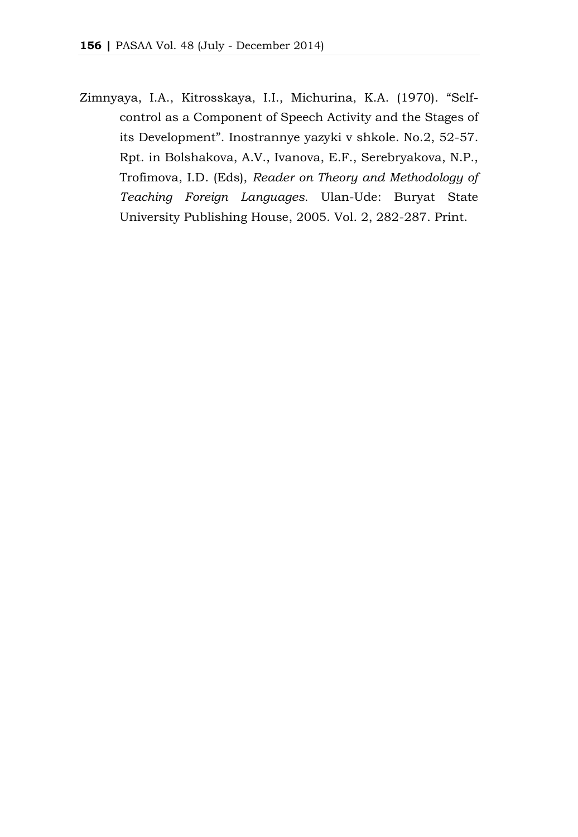Zimnyaya, I.A., Kitrosskaya, I.I., Michurina, K.A. (1970). "Selfcontrol as a Component of Speech Activity and the Stages of its Development". Inostrannye yazyki v shkole. No.2, 52-57. Rpt. in Bolshakova, A.V., Ivanova, E.F., Serebryakova, N.P., Trofimova, I.D. (Eds), *Reader on Theory and Methodology of Teaching Foreign Languages.* Ulan-Ude: Buryat State University Publishing House, 2005. Vol. 2, 282-287. Print.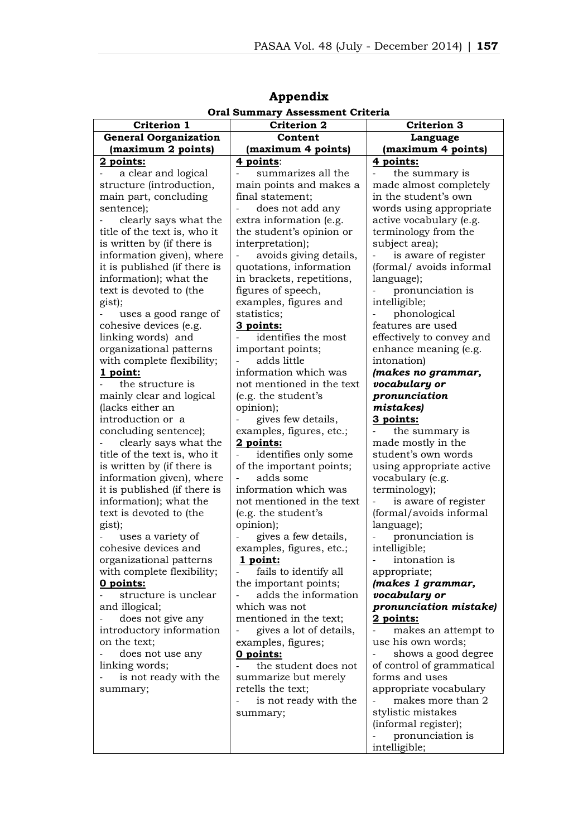|                              | Oral Summary Assessment Criteria |                                        |
|------------------------------|----------------------------------|----------------------------------------|
| Criterion 1                  | <b>Criterion 2</b>               | <b>Criterion 3</b>                     |
| <b>General Oorganization</b> | Content                          | Language                               |
| (maximum 2 points)           | (maximum 4 points)               | (maximum 4 points)                     |
| 2 points:                    | 4 points:                        | 4 points:                              |
| a clear and logical          | summarizes all the               | the summary is                         |
| structure (introduction,     | main points and makes a          | made almost completely                 |
| main part, concluding        | final statement;                 | in the student's own                   |
| sentence);                   | does not add any                 | words using appropriate                |
| clearly says what the        | extra information (e.g.          | active vocabulary (e.g.                |
| title of the text is, who it | the student's opinion or         | terminology from the                   |
| is written by (if there is   | interpretation);                 | subject area);                         |
| information given), where    | avoids giving details,           | is aware of register<br>$\overline{a}$ |
| it is published (if there is | quotations, information          | (formal/avoids informal)               |
| information); what the       | in brackets, repetitions,        | language);                             |
| text is devoted to (the      | figures of speech,               | pronunciation is                       |
| gist);                       | examples, figures and            | intelligible;                          |
| uses a good range of         | statistics;                      | phonological                           |
| cohesive devices (e.g.       | 3 points:                        | features are used                      |
| linking words) and           | identifies the most              | effectively to convey and              |
| organizational patterns      | important points;                | enhance meaning (e.g.                  |
| with complete flexibility;   | adds little                      | intonation)                            |
| 1 point:                     | information which was            | (makes no grammar,                     |
| the structure is             | not mentioned in the text        | vocabulary or                          |
| mainly clear and logical     | (e.g. the student's              | pronunciation                          |
| (lacks either an             | opinion);                        | mistakesl                              |
| introduction or a            | gives few details,               | 3 points:                              |
| concluding sentence);        | examples, figures, etc.;         | the summary is                         |
| clearly says what the        | 2 points:                        | made mostly in the                     |
| title of the text is, who it | identifies only some<br>÷,       | student's own words                    |
| is written by (if there is   | of the important points;         | using appropriate active               |
| information given), where    | adds some                        | vocabulary (e.g.                       |
| it is published (if there is | information which was            | terminology);                          |
| information); what the       | not mentioned in the text        | is aware of register                   |
| text is devoted to (the      | (e.g. the student's              | (formal/avoids informal                |
| gist);                       | opinion);                        | language);                             |
| uses a variety of            | gives a few details,             | pronunciation is                       |
| cohesive devices and         | examples, figures, etc.;         | intelligible;                          |
| organizational patterns      | 1 point:                         | intonation is                          |
| with complete flexibility;   | fails to identify all            | appropriate;                           |
| 0 points:                    | the important points;            | (makes 1 grammar,                      |
| structure is unclear         | adds the information             | vocabulary or                          |
| and illogical;               | which was not                    | pronunciation mistake)                 |
| does not give any            | mentioned in the text;           | 2 points:                              |
| introductory information     | gives a lot of details,          | makes an attempt to                    |
| on the text;                 | examples, figures;               | use his own words;                     |
| does not use any             | 0 points:                        | ÷,<br>shows a good degree              |
| linking words;               | the student does not             | of control of grammatical              |
| is not ready with the        | summarize but merely             | forms and uses                         |
| summary;                     | retells the text;                | appropriate vocabulary                 |
|                              | is not ready with the            | makes more than 2                      |
|                              | summary;                         | stylistic mistakes                     |
|                              |                                  | (informal register);                   |
|                              |                                  | pronunciation is                       |
|                              |                                  | intelligible;                          |

**Appendix Oral Summary Assessment Criteria**